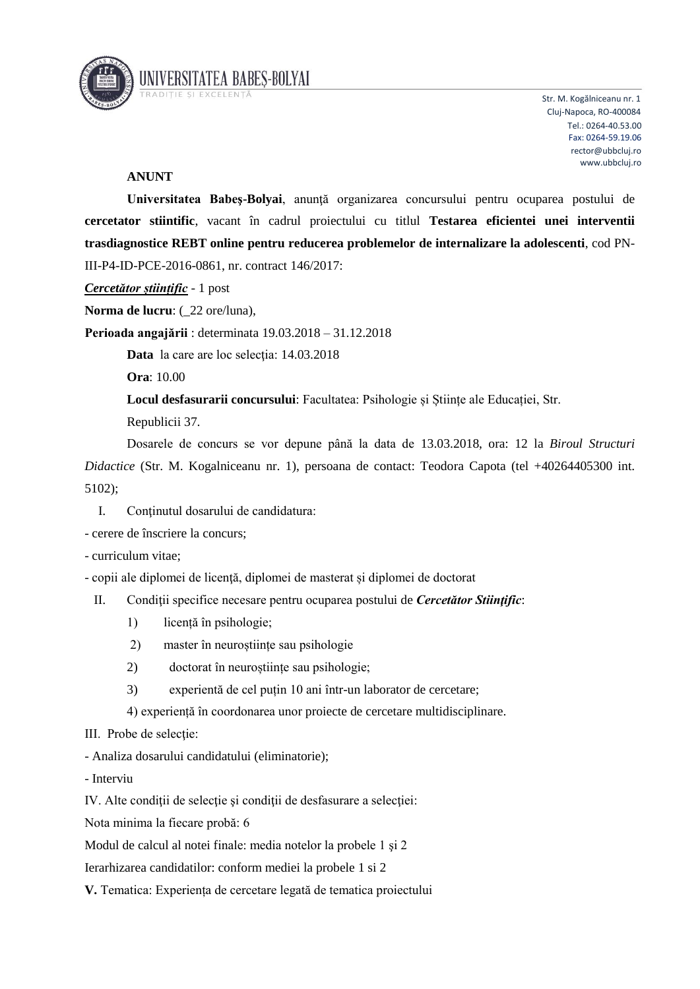

Str. M. Kogălniceanu nr. 1 Cluj-Napoca, RO-400084 Tel.: 0264-40.53.00 Fax: 0264-59.19.06 rector@ubbcluj.ro www.ubbcluj.ro

## **ANUNT**

**Universitatea Babeş-Bolyai**, anunţă organizarea concursului pentru ocuparea postului de **cercetator stiintific**, vacant în cadrul proiectului cu titlul **Testarea eficientei unei interventii trasdiagnostice REBT online pentru reducerea problemelor de internalizare la adolescenti**, cod PN-III-P4-ID-PCE-2016-0861, nr. contract 146/2017:

*Cercetător științific* - 1 post

**Norma de lucru**: (\_22 ore/luna),

**Perioada angajării** : determinata 19.03.2018 – 31.12.2018

Data la care are loc selectia: 14.03.2018

**Ora**: 10.00

**Locul desfasurarii concursului**: Facultatea: Psihologie și Științe ale Educației, Str.

Republicii 37.

Dosarele de concurs se vor depune până la data de 13.03.2018, ora: 12 la *Biroul Structuri Didactice* (Str. M. Kogalniceanu nr. 1), persoana de contact: Teodora Capota (tel +40264405300 int. 5102);

- I. Continutul dosarului de candidatura:
- cerere de înscriere la concurs;
- curriculum vitae;
- copii ale diplomei de licenţă, diplomei de masterat și diplomei de doctorat
- II. Condiţii specifice necesare pentru ocuparea postului de *Cercetător Stiinţific*:
	- 1) licență în psihologie;
	- 2) master în neuroștiințe sau psihologie
	- 2) doctorat în neuroștiințe sau psihologie;
	- 3) experientă de cel puțin 10 ani într-un laborator de cercetare;
	- 4) experiență în coordonarea unor proiecte de cercetare multidisciplinare.
- III. Probe de selecţie:
- Analiza dosarului candidatului (eliminatorie);
- Interviu

IV. Alte condiţii de selecţie şi condiţii de desfasurare a selecţiei:

Nota minima la fiecare probă: 6

Modul de calcul al notei finale: media notelor la probele 1 şi 2

Ierarhizarea candidatilor: conform mediei la probele 1 si 2

**V.** Tematica: Experiența de cercetare legată de tematica proiectului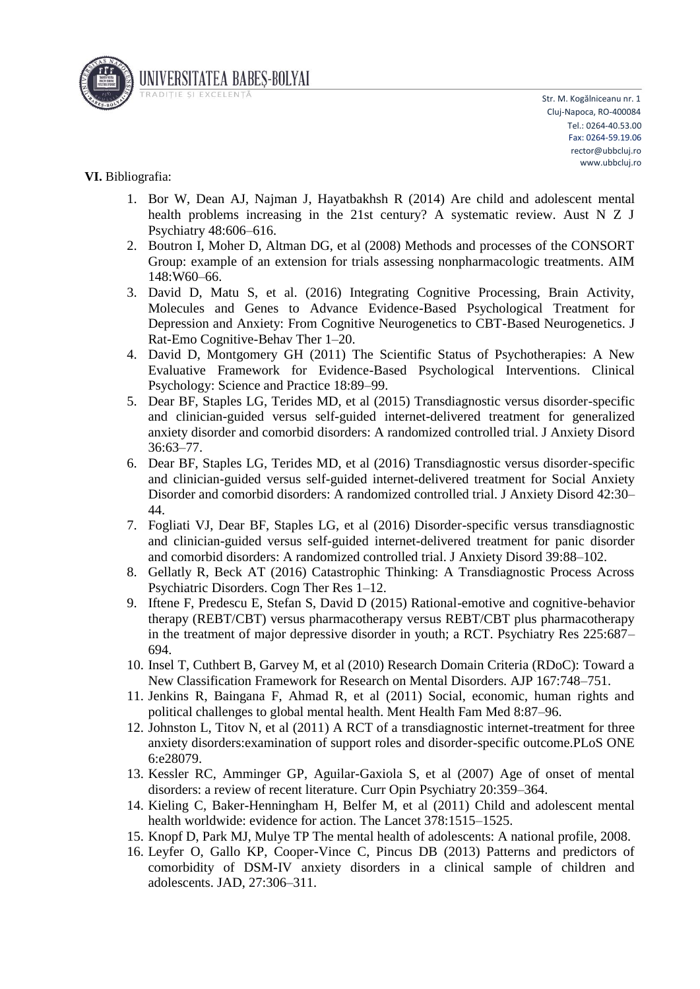

## **VI.** Bibliografia:

- 1. Bor W, Dean AJ, Najman J, Hayatbakhsh R (2014) Are child and adolescent mental health problems increasing in the 21st century? A systematic review. Aust N Z J Psychiatry 48:606–616.
- 2. Boutron I, Moher D, Altman DG, et al (2008) Methods and processes of the CONSORT Group: example of an extension for trials assessing nonpharmacologic treatments. AIM 148:W60–66.
- 3. David D, Matu S, et al. (2016) Integrating Cognitive Processing, Brain Activity, Molecules and Genes to Advance Evidence-Based Psychological Treatment for Depression and Anxiety: From Cognitive Neurogenetics to CBT-Based Neurogenetics. J Rat-Emo Cognitive-Behav Ther 1–20.
- 4. David D, Montgomery GH (2011) The Scientific Status of Psychotherapies: A New Evaluative Framework for Evidence-Based Psychological Interventions. Clinical Psychology: Science and Practice 18:89–99.
- 5. Dear BF, Staples LG, Terides MD, et al (2015) Transdiagnostic versus disorder-specific and clinician-guided versus self-guided internet-delivered treatment for generalized anxiety disorder and comorbid disorders: A randomized controlled trial. J Anxiety Disord 36:63–77.
- 6. Dear BF, Staples LG, Terides MD, et al (2016) Transdiagnostic versus disorder-specific and clinician-guided versus self-guided internet-delivered treatment for Social Anxiety Disorder and comorbid disorders: A randomized controlled trial. J Anxiety Disord 42:30– 44.
- 7. Fogliati VJ, Dear BF, Staples LG, et al (2016) Disorder-specific versus transdiagnostic and clinician-guided versus self-guided internet-delivered treatment for panic disorder and comorbid disorders: A randomized controlled trial. J Anxiety Disord 39:88–102.
- 8. Gellatly R, Beck AT (2016) Catastrophic Thinking: A Transdiagnostic Process Across Psychiatric Disorders. Cogn Ther Res 1–12.
- 9. Iftene F, Predescu E, Stefan S, David D (2015) Rational-emotive and cognitive-behavior therapy (REBT/CBT) versus pharmacotherapy versus REBT/CBT plus pharmacotherapy in the treatment of major depressive disorder in youth; a RCT. Psychiatry Res 225:687– 694.
- 10. Insel T, Cuthbert B, Garvey M, et al (2010) Research Domain Criteria (RDoC): Toward a New Classification Framework for Research on Mental Disorders. AJP 167:748–751.
- 11. Jenkins R, Baingana F, Ahmad R, et al (2011) Social, economic, human rights and political challenges to global mental health. Ment Health Fam Med 8:87–96.
- 12. Johnston L, Titov N, et al (2011) A RCT of a transdiagnostic internet-treatment for three anxiety disorders:examination of support roles and disorder-specific outcome.PLoS ONE 6:e28079.
- 13. Kessler RC, Amminger GP, Aguilar-Gaxiola S, et al (2007) Age of onset of mental disorders: a review of recent literature. Curr Opin Psychiatry 20:359–364.
- 14. Kieling C, Baker-Henningham H, Belfer M, et al (2011) Child and adolescent mental health worldwide: evidence for action. The Lancet 378:1515–1525.
- 15. Knopf D, Park MJ, Mulye TP The mental health of adolescents: A national profile, 2008.
- 16. Leyfer O, Gallo KP, Cooper-Vince C, Pincus DB (2013) Patterns and predictors of comorbidity of DSM-IV anxiety disorders in a clinical sample of children and adolescents. JAD, 27:306–311.